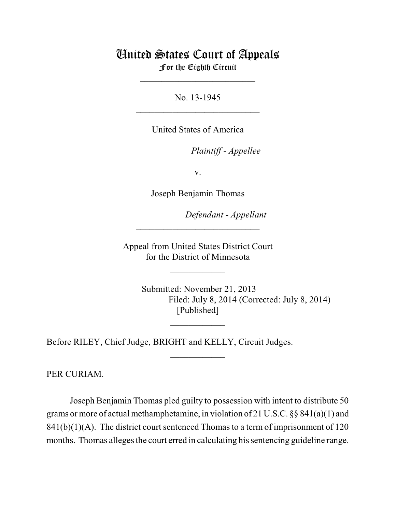## United States Court of Appeals

For the Eighth Circuit \_\_\_\_\_\_\_\_\_\_\_\_\_\_\_\_\_\_\_\_\_\_\_\_\_\_\_

No. 13-1945  $\mathcal{L}_\text{max}$  , which is a set of the set of the set of the set of the set of the set of the set of the set of the set of the set of the set of the set of the set of the set of the set of the set of the set of the set of

United States of America

Plaintiff - Appellee

v.

Joseph Benjamin Thomas

lllllllllllllllllllll *Defendant - Appellant*

 Appeal from United States District Court for the District of Minnesota

 $\overline{\phantom{a}}$  , where  $\overline{\phantom{a}}$ 

 $\frac{1}{2}$ 

\_\_\_\_\_\_\_\_\_\_\_\_

 $\mathcal{L}_\text{max}$  , which is a set of the set of the set of the set of the set of the set of the set of the set of the set of the set of the set of the set of the set of the set of the set of the set of the set of the set of

 Submitted: November 21, 2013 Filed: July 8, 2014 (Corrected: July 8, 2014) [Published]

Before RILEY, Chief Judge, BRIGHT and KELLY, Circuit Judges.

PER CURIAM.

Joseph Benjamin Thomas pled guilty to possession with intent to distribute 50 grams or more of actual methamphetamine, in violation of 21 U.S.C. §§ 841(a)(1) and  $841(b)(1)(A)$ . The district court sentenced Thomas to a term of imprisonment of 120 months. Thomas alleges the court erred in calculating his sentencing guideline range.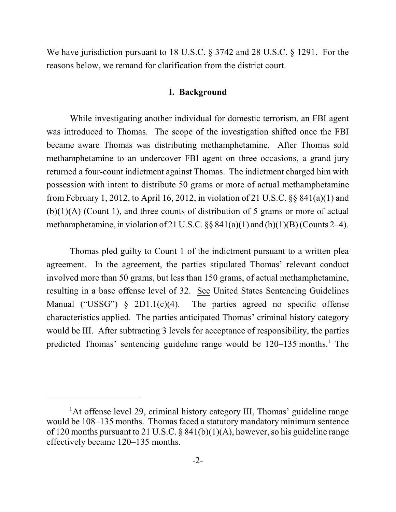We have jurisdiction pursuant to 18 U.S.C. § 3742 and 28 U.S.C. § 1291. For the reasons below, we remand for clarification from the district court.

## **I. Background**

While investigating another individual for domestic terrorism, an FBI agent was introduced to Thomas. The scope of the investigation shifted once the FBI became aware Thomas was distributing methamphetamine. After Thomas sold methamphetamine to an undercover FBI agent on three occasions, a grand jury returned a four-count indictment against Thomas. The indictment charged him with possession with intent to distribute 50 grams or more of actual methamphetamine from February 1, 2012, to April 16, 2012, in violation of 21 U.S.C. §§ 841(a)(1) and  $(b)(1)(A)$  (Count 1), and three counts of distribution of 5 grams or more of actual methamphetamine, in violation of 21 U.S.C.  $\S$  841(a)(1) and (b)(1)(B)(Counts 2–4).

Thomas pled guilty to Count 1 of the indictment pursuant to a written plea agreement. In the agreement, the parties stipulated Thomas' relevant conduct involved more than 50 grams, but less than 150 grams, of actual methamphetamine, resulting in a base offense level of 32. See United States Sentencing Guidelines Manual ("USSG")  $\S$  2D1.1(c)(4). The parties agreed no specific offense characteristics applied. The parties anticipated Thomas' criminal history category would be III. After subtracting 3 levels for acceptance of responsibility, the parties predicted Thomas' sentencing guideline range would be  $120-135$  months.<sup>1</sup> The

<sup>&</sup>lt;sup>1</sup>At offense level 29, criminal history category III, Thomas' guideline range would be 108–135 months. Thomas faced a statutory mandatory minimum sentence of 120 months pursuant to 21 U.S.C. § 841(b)(1)(A), however, so his guideline range effectively became 120–135 months.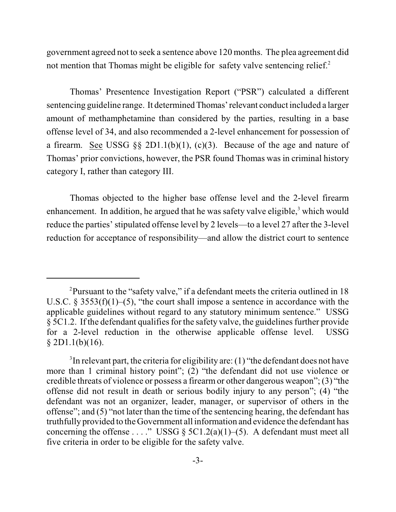government agreed not to seek a sentence above 120 months. The plea agreement did not mention that Thomas might be eligible for safety valve sentencing relief. $2$ 

Thomas' Presentence Investigation Report ("PSR") calculated a different sentencing guideline range. It determined Thomas'relevant conduct included a larger amount of methamphetamine than considered by the parties, resulting in a base offense level of 34, and also recommended a 2-level enhancement for possession of a firearm. See USSG §§ 2D1.1(b)(1), (c)(3). Because of the age and nature of Thomas' prior convictions, however, the PSR found Thomas was in criminal history category I, rather than category III.

Thomas objected to the higher base offense level and the 2-level firearm enhancement. In addition, he argued that he was safety valve eligible,<sup>3</sup> which would reduce the parties' stipulated offense level by 2 levels—to a level 27 after the 3-level reduction for acceptance of responsibility—and allow the district court to sentence

<sup>&</sup>lt;sup>2</sup>Pursuant to the "safety valve," if a defendant meets the criteria outlined in 18 U.S.C. § 3553(f)(1)–(5), "the court shall impose a sentence in accordance with the applicable guidelines without regard to any statutory minimum sentence." USSG  $§$  5C1.2. If the defendant qualifies for the safety valve, the guidelines further provide for a 2-level reduction in the otherwise applicable offense level. USSG  $§$  2D1.1(b)(16).

 $3$ In relevant part, the criteria for eligibility are: (1) "the defendant does not have more than 1 criminal history point"; (2) "the defendant did not use violence or credible threats of violence or possess a firearm or other dangerous weapon"; (3) "the offense did not result in death or serious bodily injury to any person"; (4) "the defendant was not an organizer, leader, manager, or supervisor of others in the offense"; and (5) "not later than the time of the sentencing hearing, the defendant has truthfully provided to the Government all information and evidence the defendant has concerning the offense . . . ." USSG §  $5C1.2(a)(1)–(5)$ . A defendant must meet all five criteria in order to be eligible for the safety valve.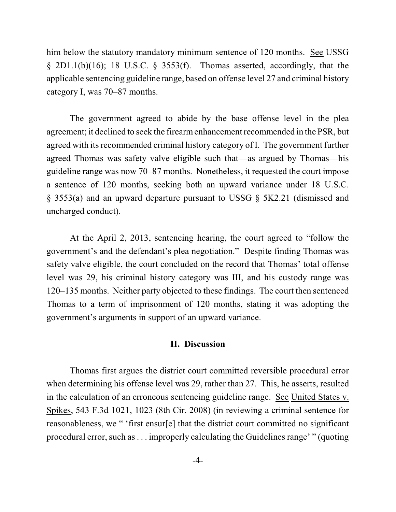him below the statutory mandatory minimum sentence of 120 months. See USSG  $\S$  2D1.1(b)(16); 18 U.S.C.  $\S$  3553(f). Thomas asserted, accordingly, that the applicable sentencing guideline range, based on offense level 27 and criminal history category I, was 70–87 months.

The government agreed to abide by the base offense level in the plea agreement; it declined to seek the firearmenhancement recommended in the PSR, but agreed with its recommended criminal history category of I. The government further agreed Thomas was safety valve eligible such that—as argued by Thomas—his guideline range was now 70–87 months. Nonetheless, it requested the court impose a sentence of 120 months, seeking both an upward variance under 18 U.S.C. § 3553(a) and an upward departure pursuant to USSG § 5K2.21 (dismissed and uncharged conduct).

At the April 2, 2013, sentencing hearing, the court agreed to "follow the government's and the defendant's plea negotiation." Despite finding Thomas was safety valve eligible, the court concluded on the record that Thomas' total offense level was 29, his criminal history category was III, and his custody range was 120–135 months. Neither party objected to these findings. The court then sentenced Thomas to a term of imprisonment of 120 months, stating it was adopting the government's arguments in support of an upward variance.

## **II. Discussion**

Thomas first argues the district court committed reversible procedural error when determining his offense level was 29, rather than 27. This, he asserts, resulted in the calculation of an erroneous sentencing guideline range. See United States v. Spikes, 543 F.3d 1021, 1023 (8th Cir. 2008) (in reviewing a criminal sentence for reasonableness, we " 'first ensur[e] that the district court committed no significant procedural error, such as . . . improperly calculating the Guidelines range' " (quoting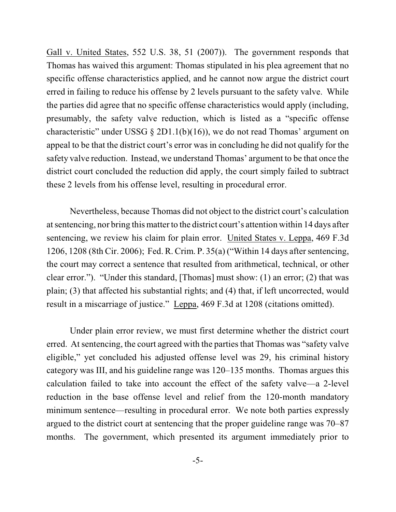Gall v. United States, 552 U.S. 38, 51 (2007)). The government responds that Thomas has waived this argument: Thomas stipulated in his plea agreement that no specific offense characteristics applied, and he cannot now argue the district court erred in failing to reduce his offense by 2 levels pursuant to the safety valve. While the parties did agree that no specific offense characteristics would apply (including, presumably, the safety valve reduction, which is listed as a "specific offense characteristic" under USSG  $\S 2D1.1(b)(16)$ , we do not read Thomas' argument on appeal to be that the district court's error was in concluding he did not qualify for the safety valve reduction. Instead, we understand Thomas' argument to be that once the district court concluded the reduction did apply, the court simply failed to subtract these 2 levels from his offense level, resulting in procedural error.

Nevertheless, because Thomas did not object to the district court's calculation atsentencing, nor bring this matter to the district court's attention within 14 days after sentencing, we review his claim for plain error. United States v. Leppa, 469 F.3d 1206, 1208 (8th Cir. 2006); Fed. R. Crim. P. 35(a) ("Within 14 days after sentencing, the court may correct a sentence that resulted from arithmetical, technical, or other clear error."). "Under this standard, [Thomas] must show: (1) an error; (2) that was plain; (3) that affected his substantial rights; and (4) that, if left uncorrected, would result in a miscarriage of justice." Leppa, 469 F.3d at 1208 (citations omitted).

Under plain error review, we must first determine whether the district court erred. At sentencing, the court agreed with the parties that Thomas was "safety valve" eligible," yet concluded his adjusted offense level was 29, his criminal history category was III, and his guideline range was 120–135 months. Thomas argues this calculation failed to take into account the effect of the safety valve—a 2-level reduction in the base offense level and relief from the 120-month mandatory minimum sentence—resulting in procedural error. We note both parties expressly argued to the district court at sentencing that the proper guideline range was 70–87 months. The government, which presented its argument immediately prior to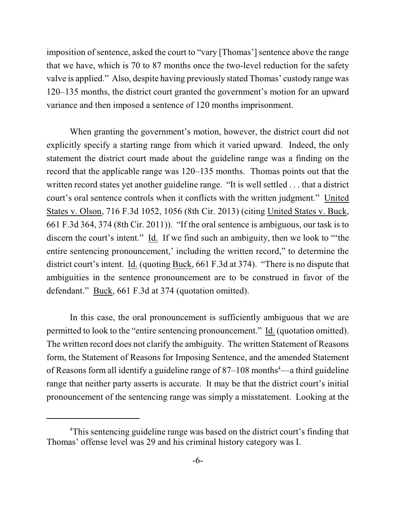imposition of sentence, asked the court to "vary [Thomas'] sentence above the range that we have, which is 70 to 87 months once the two-level reduction for the safety valve is applied." Also, despite having previously stated Thomas' custody range was 120–135 months, the district court granted the government's motion for an upward variance and then imposed a sentence of 120 months imprisonment.

When granting the government's motion, however, the district court did not explicitly specify a starting range from which it varied upward. Indeed, the only statement the district court made about the guideline range was a finding on the record that the applicable range was 120–135 months. Thomas points out that the written record states yet another guideline range. "It is well settled . . . that a district court's oral sentence controls when it conflicts with the written judgment." United States v. Olson, 716 F.3d 1052, 1056 (8th Cir. 2013) (citing United States v. Buck, 661 F.3d 364, 374 (8th Cir. 2011)). "If the oral sentence is ambiguous, our task is to discern the court's intent." Id. If we find such an ambiguity, then we look to "'the entire sentencing pronouncement,' including the written record," to determine the district court's intent. Id. (quoting Buck, 661 F.3d at 374). "There is no dispute that ambiguities in the sentence pronouncement are to be construed in favor of the defendant." Buck, 661 F.3d at 374 (quotation omitted).

In this case, the oral pronouncement is sufficiently ambiguous that we are permitted to look to the "entire sentencing pronouncement." Id. (quotation omitted). The written record does not clarify the ambiguity. The written Statement of Reasons form, the Statement of Reasons for Imposing Sentence, and the amended Statement of Reasons form all identify a guideline range of  $87-108$  months<sup>4</sup>—a third guideline range that neither party asserts is accurate. It may be that the district court's initial pronouncement of the sentencing range was simply a misstatement. Looking at the

<sup>&</sup>lt;sup>4</sup>This sentencing guideline range was based on the district court's finding that Thomas' offense level was 29 and his criminal history category was I.